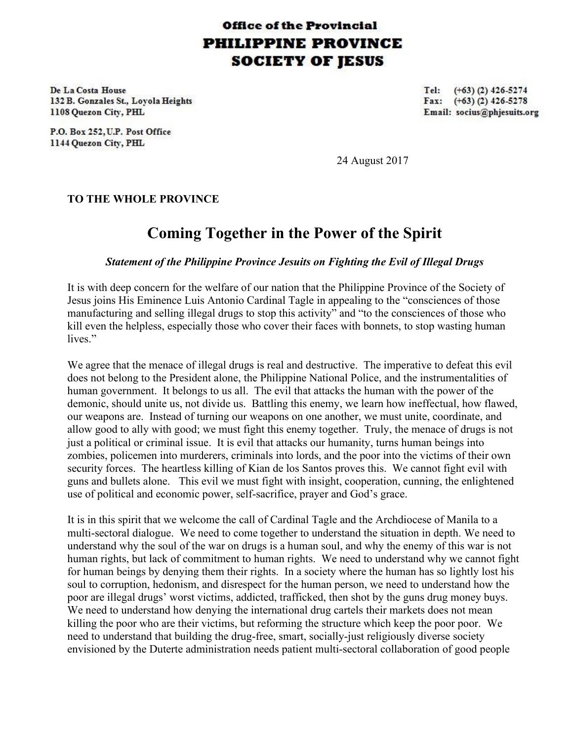## **Office of the Provincial PHILIPPINE PROVINCE SOCIETY OF JESUS**

De La Costa House 132 B. Gonzales St., Lovola Heights 1108 Quezon City, PHL

P.O. Box 252, U.P. Post Office 1144 Quezon City, PHL

Tel:  $(+63)$  (2) 426-5274 Fax:  $(+63)$  (2) 426-5278 Email: socius@phjesuits.org

24 August 2017

## **TO THE WHOLE PROVINCE**

## **Coming Together in the Power of the Spirit**

## *Statement of the Philippine Province Jesuits on Fighting the Evil of Illegal Drugs*

It is with deep concern for the welfare of our nation that the Philippine Province of the Society of Jesus joins His Eminence Luis Antonio Cardinal Tagle in appealing to the "consciences of those manufacturing and selling illegal drugs to stop this activity" and "to the consciences of those who kill even the helpless, especially those who cover their faces with bonnets, to stop wasting human lives."

We agree that the menace of illegal drugs is real and destructive. The imperative to defeat this evil does not belong to the President alone, the Philippine National Police, and the instrumentalities of human government. It belongs to us all. The evil that attacks the human with the power of the demonic, should unite us, not divide us. Battling this enemy, we learn how ineffectual, how flawed, our weapons are. Instead of turning our weapons on one another, we must unite, coordinate, and allow good to ally with good; we must fight this enemy together. Truly, the menace of drugs is not just a political or criminal issue. It is evil that attacks our humanity, turns human beings into zombies, policemen into murderers, criminals into lords, and the poor into the victims of their own security forces. The heartless killing of Kian de los Santos proves this. We cannot fight evil with guns and bullets alone. This evil we must fight with insight, cooperation, cunning, the enlightened use of political and economic power, self-sacrifice, prayer and God's grace.

It is in this spirit that we welcome the call of Cardinal Tagle and the Archdiocese of Manila to a multi-sectoral dialogue. We need to come together to understand the situation in depth. We need to understand why the soul of the war on drugs is a human soul, and why the enemy of this war is not human rights, but lack of commitment to human rights. We need to understand why we cannot fight for human beings by denying them their rights. In a society where the human has so lightly lost his soul to corruption, hedonism, and disrespect for the human person, we need to understand how the poor are illegal drugs' worst victims, addicted, trafficked, then shot by the guns drug money buys. We need to understand how denying the international drug cartels their markets does not mean killing the poor who are their victims, but reforming the structure which keep the poor poor. We need to understand that building the drug-free, smart, socially-just religiously diverse society envisioned by the Duterte administration needs patient multi-sectoral collaboration of good people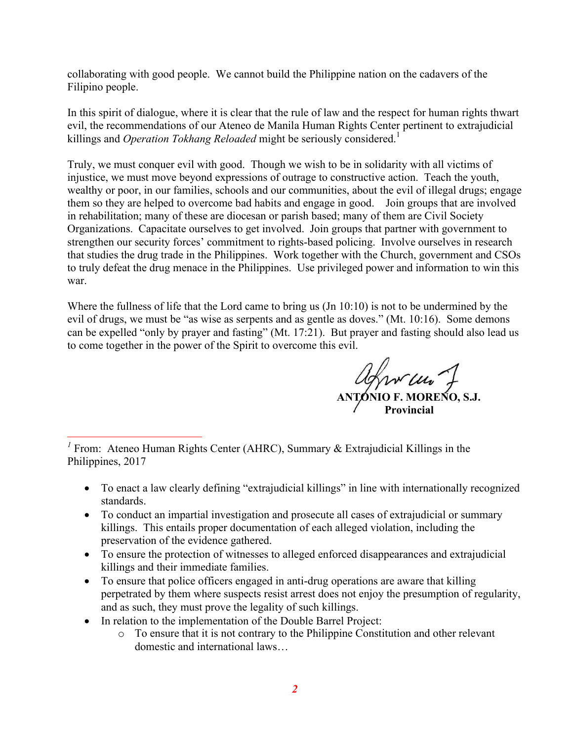collaborating with good people. We cannot build the Philippine nation on the cadavers of the Filipino people.

In this spirit of dialogue, where it is clear that the rule of law and the respect for human rights thwart evil, the recommendations of our Ateneo de Manila Human Rights Center pertinent to extrajudicial killings and *Operation Tokhang Reloaded* might be seriously considered.<sup>1</sup>

Truly, we must conquer evil with good. Though we wish to be in solidarity with all victims of injustice, we must move beyond expressions of outrage to constructive action. Teach the youth, wealthy or poor, in our families, schools and our communities, about the evil of illegal drugs; engage them so they are helped to overcome bad habits and engage in good. Join groups that are involved in rehabilitation; many of these are diocesan or parish based; many of them are Civil Society Organizations. Capacitate ourselves to get involved. Join groups that partner with government to strengthen our security forces' commitment to rights-based policing. Involve ourselves in research that studies the drug trade in the Philippines. Work together with the Church, government and CSOs to truly defeat the drug menace in the Philippines. Use privileged power and information to win this war.

Where the fullness of life that the Lord came to bring us (Jn 10:10) is not to be undermined by the evil of drugs, we must be "as wise as serpents and as gentle as doves." (Mt. 10:16). Some demons can be expelled "only by prayer and fasting" (Mt. 17:21). But prayer and fasting should also lead us to come together in the power of the Spirit to overcome this evil.

**ANTONIO F. MORENO, S.J. Provincial**

- To enact a law clearly defining "extrajudicial killings" in line with internationally recognized standards.
- To conduct an impartial investigation and prosecute all cases of extrajudicial or summary killings. This entails proper documentation of each alleged violation, including the preservation of the evidence gathered.
- To ensure the protection of witnesses to alleged enforced disappearances and extrajudicial killings and their immediate families.
- To ensure that police officers engaged in anti-drug operations are aware that killing perpetrated by them where suspects resist arrest does not enjoy the presumption of regularity, and as such, they must prove the legality of such killings.
- In relation to the implementation of the Double Barrel Project:

o To ensure that it is not contrary to the Philippine Constitution and other relevant domestic and international laws…

<sup>&</sup>lt;sup>1</sup> From: Ateneo Human Rights Center (AHRC), Summary  $\&$  Extrajudicial Killings in the Philippines, 2017